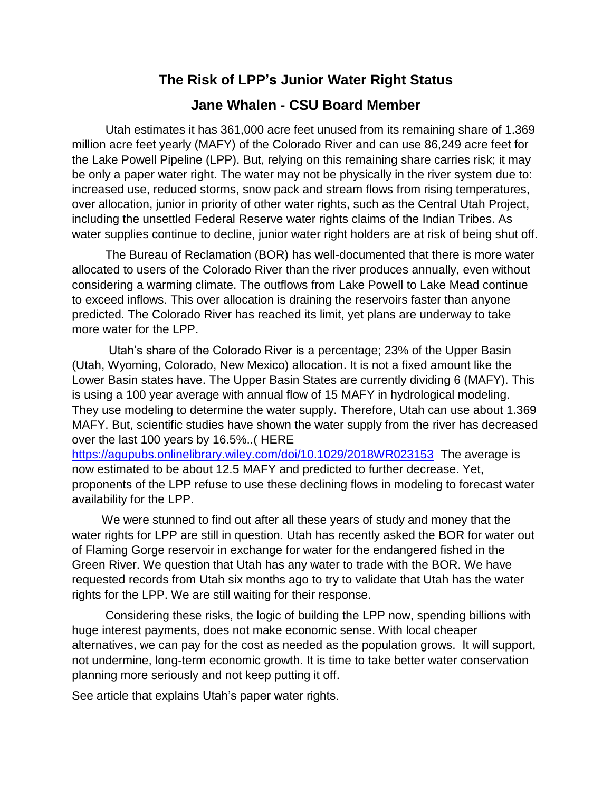## **The Risk of LPP's Junior Water Right Status**

## **Jane Whalen - CSU Board Member**

 Utah estimates it has 361,000 acre feet unused from its remaining share of 1.369 million acre feet yearly (MAFY) of the Colorado River and can use 86,249 acre feet for the Lake Powell Pipeline (LPP). But, relying on this remaining share carries risk; it may be only a paper water right. The water may not be physically in the river system due to: increased use, reduced storms, snow pack and stream flows from rising temperatures, over allocation, junior in priority of other water rights, such as the Central Utah Project, including the unsettled Federal Reserve water rights claims of the Indian Tribes. As water supplies continue to decline, junior water right holders are at risk of being shut off.

 The Bureau of Reclamation (BOR) has well-documented that there is more water allocated to users of the Colorado River than the river produces annually, even without considering a warming climate. The outflows from Lake Powell to Lake Mead continue to exceed inflows. This over allocation is draining the reservoirs faster than anyone predicted. The Colorado River has reached its limit, yet plans are underway to take more water for the LPP.

 Utah's share of the Colorado River is a percentage; 23% of the Upper Basin (Utah, Wyoming, Colorado, New Mexico) allocation. It is not a fixed amount like the Lower Basin states have. The Upper Basin States are currently dividing 6 (MAFY). This is using a 100 year average with annual flow of 15 MAFY in hydrological modeling. They use modeling to determine the water supply. Therefore, Utah can use about 1.369 MAFY. But, scientific studies have shown the water supply from the river has decreased over the last 100 years by 16.5%..( HERE

<https://agupubs.onlinelibrary.wiley.com/doi/10.1029/2018WR023153>The average is now estimated to be about 12.5 MAFY and predicted to further decrease. Yet, proponents of the LPP refuse to use these declining flows in modeling to forecast water availability for the LPP.

 We were stunned to find out after all these years of study and money that the water rights for LPP are still in question. Utah has recently asked the BOR for water out of Flaming Gorge reservoir in exchange for water for the endangered fished in the Green River. We question that Utah has any water to trade with the BOR. We have requested records from Utah six months ago to try to validate that Utah has the water rights for the LPP. We are still waiting for their response.

 Considering these risks, the logic of building the LPP now, spending billions with huge interest payments, does not make economic sense. With local cheaper alternatives, we can pay for the cost as needed as the population grows. It will support, not undermine, long-term economic growth. It is time to take better water conservation planning more seriously and not keep putting it off.

See article that explains Utah's paper water rights.